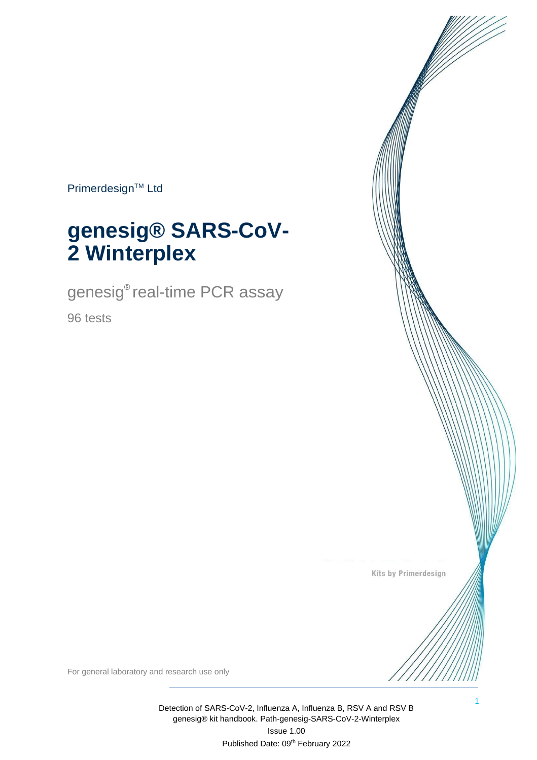Primerdesign™ Ltd

# **genesig® SARS-CoV-2 Winterplex**

genesig® real-time PCR assay

96 tests

Kits by Primerdesign

1

For general laboratory and research use only

Detection of SARS-CoV-2, Influenza A, Influenza B, RSV A and RSV B genesig® kit handbook. Path-genesig-SARS-CoV-2-Winterplex Issue 1.00 Published Date: 09th February 2022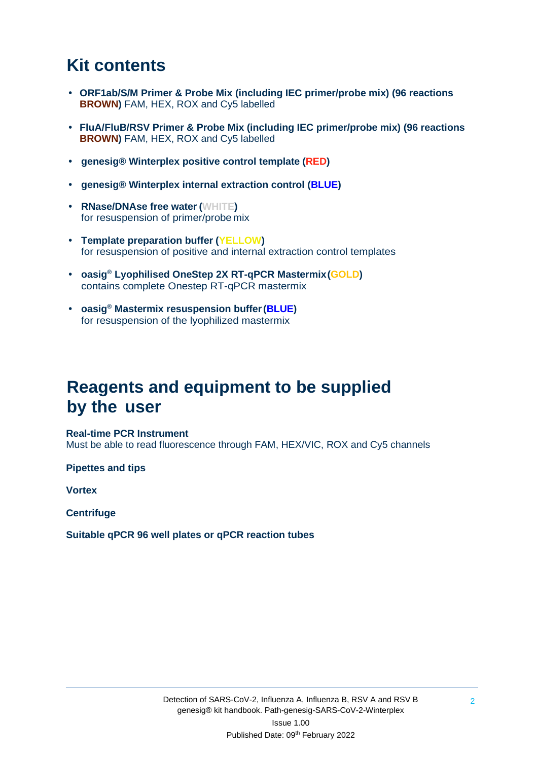### **Kit contents**

- **• ORF1ab/S/M Primer & Probe Mix (including IEC primer/probe mix) (96 reactions BROWN)** FAM, HEX, ROX and Cy5 labelled
- **• FluA/FluB/RSV Primer & Probe Mix (including IEC primer/probe mix) (96 reactions BROWN)** FAM, HEX, ROX and Cy5 labelled
- **• genesig® Winterplex positive control template (RED)**
- **• genesig® Winterplex internal extraction control (BLUE)**
- **• RNase/DNAse free water (WHITE)** for resuspension of primer/probe mix
- **• Template preparation buffer (YELLOW)** for resuspension of positive and internal extraction control templates
- **• oasig® Lyophilised OneStep 2X RT-qPCR Mastermix(GOLD)** contains complete Onestep RT-qPCR mastermix
- **• oasig® Mastermix resuspension buffer(BLUE)** for resuspension of the lyophilized mastermix

### **Reagents and equipment to be supplied by the user**

#### **Real-time PCR Instrument**

Must be able to read fluorescence through FAM, HEX/VIC, ROX and Cy5 channels

**Pipettes and tips** 

**Vortex** 

**Centrifuge**

**Suitable qPCR 96 well plates or qPCR reaction tubes**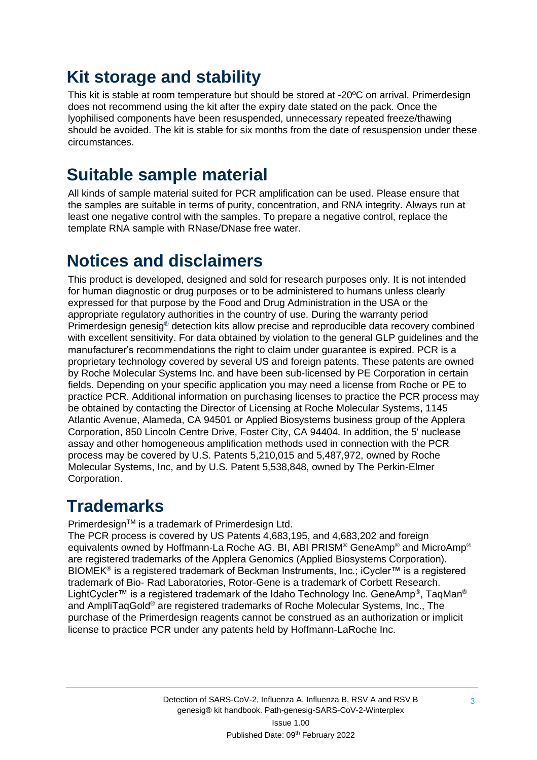### **Kit storage and stability**

This kit is stable at room temperature but should be stored at -20ºC on arrival. Primerdesign does not recommend using the kit after the expiry date stated on the pack. Once the lyophilised components have been resuspended, unnecessary repeated freeze/thawing should be avoided. The kit is stable for six months from the date of resuspension under these circumstances.

### **Suitable sample material**

All kinds of sample material suited for PCR amplification can be used. Please ensure that the samples are suitable in terms of purity, concentration, and RNA integrity. Always run at least one negative control with the samples. To prepare a negative control, replace the template RNA sample with RNase/DNase free water.

### **Notices and disclaimers**

This product is developed, designed and sold for research purposes only. It is not intended for human diagnostic or drug purposes or to be administered to humans unless clearly expressed for that purpose by the Food and Drug Administration in the USA or the appropriate regulatory authorities in the country of use. During the warranty period Primerdesign genesig® detection kits allow precise and reproducible data recovery combined with excellent sensitivity. For data obtained by violation to the general GLP guidelines and the manufacturer's recommendations the right to claim under guarantee is expired. PCR is a proprietary technology covered by several US and foreign patents. These patents are owned by Roche Molecular Systems Inc. and have been sub-licensed by PE Corporation in certain fields. Depending on your specific application you may need a license from Roche or PE to practice PCR. Additional information on purchasing licenses to practice the PCR process may be obtained by contacting the Director of Licensing at Roche Molecular Systems, 1145 Atlantic Avenue, Alameda, CA 94501 or Applied Biosystems business group of the Applera Corporation, 850 Lincoln Centre Drive, Foster City, CA 94404. In addition, the 5' nuclease assay and other homogeneous amplification methods used in connection with the PCR process may be covered by U.S. Patents 5,210,015 and 5,487,972, owned by Roche Molecular Systems, Inc, and by U.S. Patent 5,538,848, owned by The Perkin-Elmer Corporation.

### **Trademarks**

Primerdesign™ is a trademark of Primerdesign Ltd.

The PCR process is covered by US Patents 4,683,195, and 4,683,202 and foreign equivalents owned by Hoffmann-La Roche AG. BI, ABI PRISM® GeneAmp® and MicroAmp® are registered trademarks of the Applera Genomics (Applied Biosystems Corporation). BIOMEK<sup>®</sup> is a registered trademark of Beckman Instruments, Inc.; iCycler™ is a registered trademark of Bio- Rad Laboratories, Rotor-Gene is a trademark of Corbett Research. LightCycler™ is a registered trademark of the Idaho Technology Inc. GeneAmp®, TaqMan® and AmpliTaqGold® are registered trademarks of Roche Molecular Systems, Inc., The purchase of the Primerdesign reagents cannot be construed as an authorization or implicit license to practice PCR under any patents held by Hoffmann-LaRoche Inc.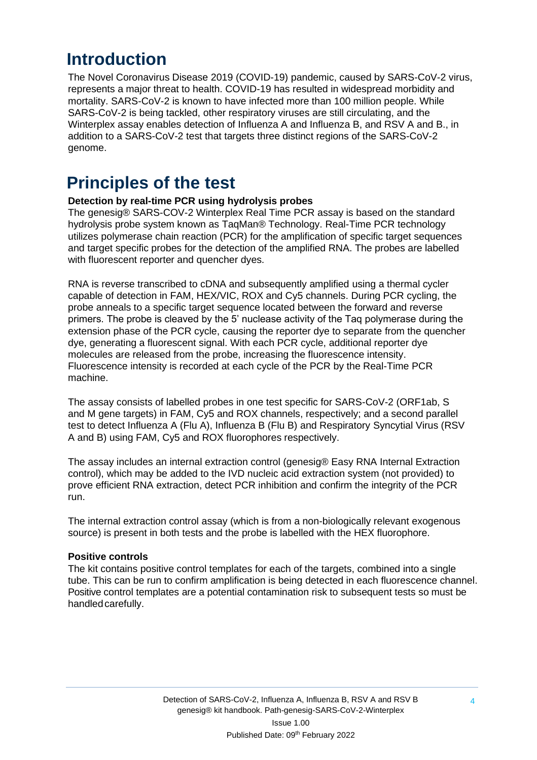### **Introduction**

The Novel Coronavirus Disease 2019 (COVID-19) pandemic, caused by SARS-CoV-2 virus, represents a major threat to health. COVID-19 has resulted in widespread morbidity and mortality. SARS-CoV-2 is known to have infected more than 100 million people. While SARS-CoV-2 is being tackled, other respiratory viruses are still circulating, and the Winterplex assay enables detection of Influenza A and Influenza B, and RSV A and B., in addition to a SARS-CoV-2 test that targets three distinct regions of the SARS-CoV-2 genome.

### **Principles of the test**

#### **Detection by real-time PCR using hydrolysis probes**

The genesig® SARS-COV-2 Winterplex Real Time PCR assay is based on the standard hydrolysis probe system known as TaqMan® Technology. Real-Time PCR technology utilizes polymerase chain reaction (PCR) for the amplification of specific target sequences and target specific probes for the detection of the amplified RNA. The probes are labelled with fluorescent reporter and quencher dyes.

RNA is reverse transcribed to cDNA and subsequently amplified using a thermal cycler capable of detection in FAM, HEX/VIC, ROX and Cy5 channels. During PCR cycling, the probe anneals to a specific target sequence located between the forward and reverse primers. The probe is cleaved by the 5' nuclease activity of the Taq polymerase during the extension phase of the PCR cycle, causing the reporter dye to separate from the quencher dye, generating a fluorescent signal. With each PCR cycle, additional reporter dye molecules are released from the probe, increasing the fluorescence intensity. Fluorescence intensity is recorded at each cycle of the PCR by the Real-Time PCR machine.

The assay consists of labelled probes in one test specific for SARS-CoV-2 (ORF1ab, S and M gene targets) in FAM, Cy5 and ROX channels, respectively; and a second parallel test to detect Influenza A (Flu A), Influenza B (Flu B) and Respiratory Syncytial Virus (RSV A and B) using FAM, Cy5 and ROX fluorophores respectively.

The assay includes an internal extraction control (genesig® Easy RNA Internal Extraction control), which may be added to the IVD nucleic acid extraction system (not provided) to prove efficient RNA extraction, detect PCR inhibition and confirm the integrity of the PCR run.

The internal extraction control assay (which is from a non-biologically relevant exogenous source) is present in both tests and the probe is labelled with the HEX fluorophore.

#### **Positive controls**

The kit contains positive control templates for each of the targets, combined into a single tube. This can be run to confirm amplification is being detected in each fluorescence channel. Positive control templates are a potential contamination risk to subsequent tests so must be handledcarefully.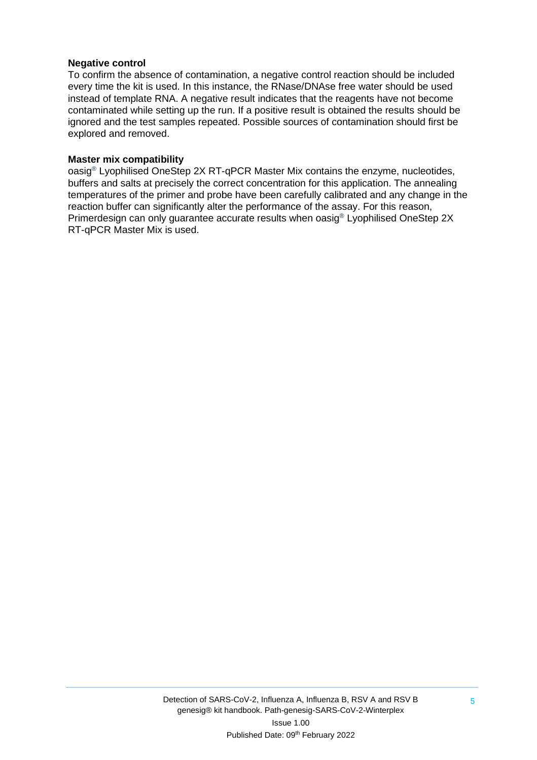#### **Negative control**

To confirm the absence of contamination, a negative control reaction should be included every time the kit is used. In this instance, the RNase/DNAse free water should be used instead of template RNA. A negative result indicates that the reagents have not become contaminated while setting up the run. If a positive result is obtained the results should be ignored and the test samples repeated. Possible sources of contamination should first be explored and removed.

#### **Master mix compatibility**

oasig® Lyophilised OneStep 2X RT-qPCR Master Mix contains the enzyme, nucleotides, buffers and salts at precisely the correct concentration for this application. The annealing temperatures of the primer and probe have been carefully calibrated and any change in the reaction buffer can significantly alter the performance of the assay. For this reason, Primerdesign can only guarantee accurate results when oasig® Lyophilised OneStep 2X RT-qPCR Master Mix is used.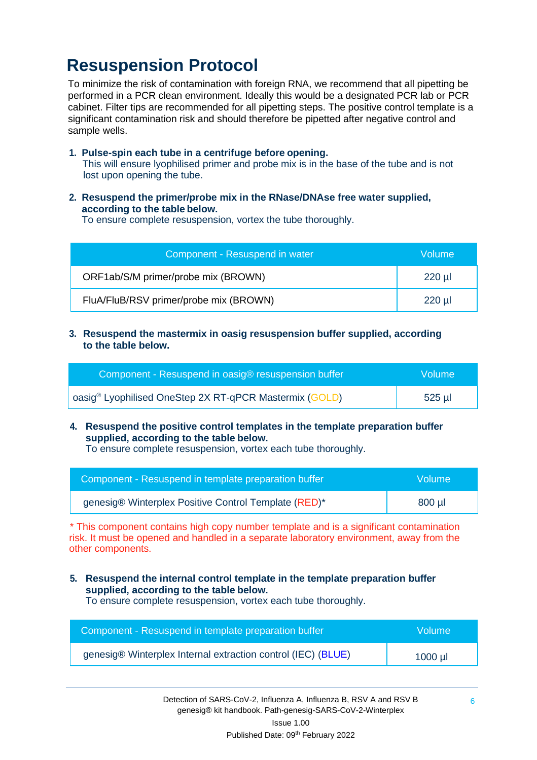### **Resuspension Protocol**

To minimize the risk of contamination with foreign RNA, we recommend that all pipetting be performed in a PCR clean environment. Ideally this would be a designated PCR lab or PCR cabinet. Filter tips are recommended for all pipetting steps. The positive control template is a significant contamination risk and should therefore be pipetted after negative control and sample wells.

**1. Pulse-spin each tube in a centrifuge before opening.** This will ensure lyophilised primer and probe mix is in the base of the tube and is not lost upon opening the tube.

#### **2. Resuspend the primer/probe mix in the RNase/DNAse free water supplied, according to the table below.**

To ensure complete resuspension, vortex the tube thoroughly.

| Component - Resuspend in water         | Volume   |
|----------------------------------------|----------|
| ORF1ab/S/M primer/probe mix (BROWN)    | $220$ µl |
| FluA/FluB/RSV primer/probe mix (BROWN) | $220$ µl |

**3. Resuspend the mastermix in oasig resuspension buffer supplied, according to the table below.**

| Component - Resuspend in oasig® resuspension buffer                | <b>Volume</b> |
|--------------------------------------------------------------------|---------------|
| oasig <sup>®</sup> Lyophilised OneStep 2X RT-qPCR Mastermix (GOLD) | 525 µl        |

**4. Resuspend the positive control templates in the template preparation buffer supplied, according to the table below.**

To ensure complete resuspension, vortex each tube thoroughly.

| Component - Resuspend in template preparation buffer | Wolume! |
|------------------------------------------------------|---------|
| genesig® Winterplex Positive Control Template (RED)* | 800 µl  |

\* This component contains high copy number template and is a significant contamination risk. It must be opened and handled in a separate laboratory environment, away from the other components.

**5. Resuspend the internal control template in the template preparation buffer supplied, according to the table below.**

To ensure complete resuspension, vortex each tube thoroughly.

| Component - Resuspend in template preparation buffer         | Volume    |
|--------------------------------------------------------------|-----------|
| genesig® Winterplex Internal extraction control (IEC) (BLUE) | $1000$ µl |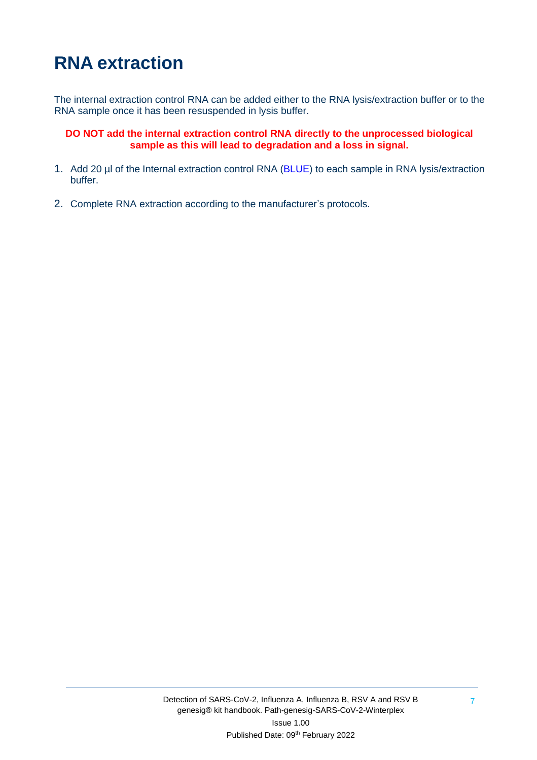# **RNA extraction**

The internal extraction control RNA can be added either to the RNA lysis/extraction buffer or to the RNA sample once it has been resuspended in lysis buffer.

**DO NOT add the internal extraction control RNA directly to the unprocessed biological sample as this will lead to degradation and a loss in signal.**

- 1. Add 20 µl of the Internal extraction control RNA (BLUE) to each sample in RNA lysis/extraction buffer.
- 2. Complete RNA extraction according to the manufacturer's protocols.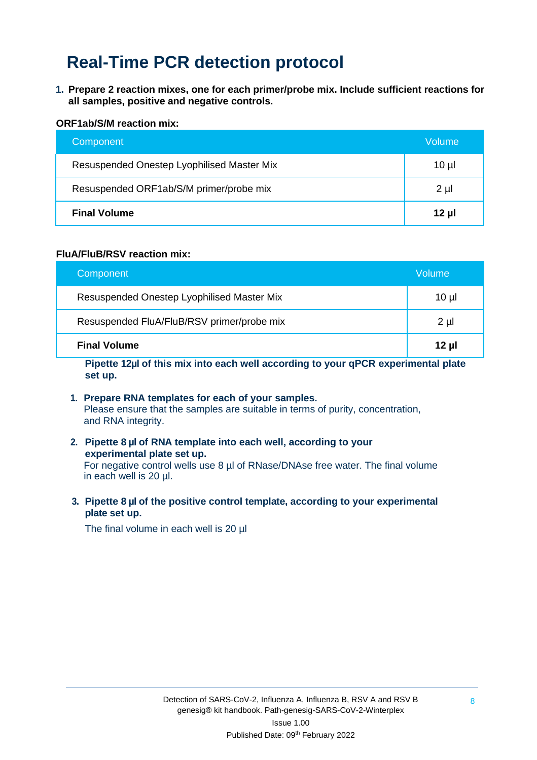### **Real-Time PCR detection protocol**

**1. Prepare 2 reaction mixes, one for each primer/probe mix. Include sufficient reactions for all samples, positive and negative controls.** 

#### **ORF1ab/S/M reaction mix:**

| Component                                  | Volume  |
|--------------------------------------------|---------|
| Resuspended Onestep Lyophilised Master Mix | 10 µl   |
| Resuspended ORF1ab/S/M primer/probe mix    | $2 \mu$ |
| <b>Final Volume</b>                        | 12 µl   |

#### **FluA/FluB/RSV reaction mix:**

| Component                                  | Volume   |
|--------------------------------------------|----------|
| Resuspended Onestep Lyophilised Master Mix | $10 \mu$ |
| Resuspended FluA/FluB/RSV primer/probe mix | $2 \mu$  |
| <b>Final Volume</b>                        | $12 \mu$ |

**Pipette 12µl of this mix into each well according to your qPCR experimental plate set up.**

- **1. Prepare RNA templates for each of your samples.** Please ensure that the samples are suitable in terms of purity, concentration, and RNA integrity.
- **2. Pipette 8 µl of RNA template into each well, according to your experimental plate set up.** For negative control wells use 8 µl of RNase/DNAse free water. The final volume in each well is 20 µl.
- **3. Pipette 8 µl of the positive control template, according to your experimental plate set up.**

The final volume in each well is 20 µl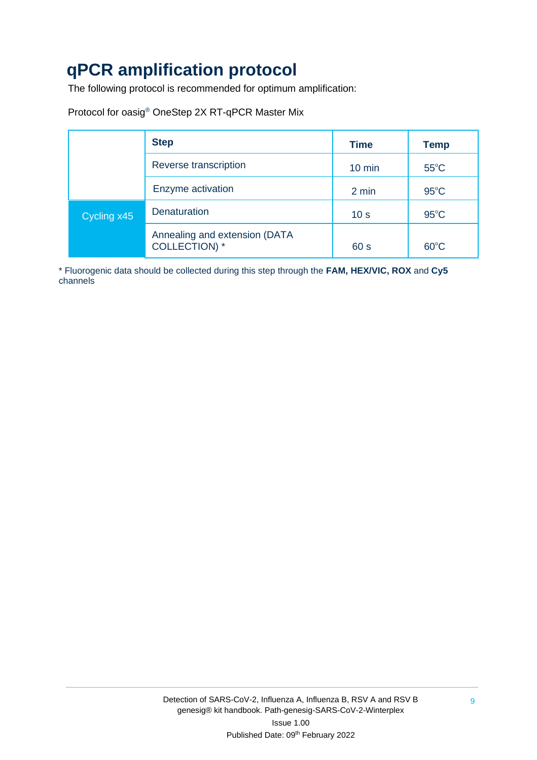## **qPCR amplification protocol**

The following protocol is recommended for optimum amplification:

|  | Protocol for oasig® OneStep 2X RT-qPCR Master Mix |  |
|--|---------------------------------------------------|--|
|--|---------------------------------------------------|--|

|                                    | <b>Step</b>                                           | <b>Time</b>      | <b>Temp</b>    |
|------------------------------------|-------------------------------------------------------|------------------|----------------|
| Reverse transcription              |                                                       | $10 \text{ min}$ | $55^{\circ}$ C |
|                                    | Enzyme activation                                     | 2 min            | $95^{\circ}$ C |
| <b>Denaturation</b><br>Cycling x45 |                                                       | 10 <sub>s</sub>  | $95^{\circ}$ C |
|                                    | Annealing and extension (DATA<br><b>COLLECTION)</b> * | 60 s             | $60^{\circ}$ C |

\* Fluorogenic data should be collected during this step through the **FAM, HEX/VIC, ROX** and **Cy5** channels